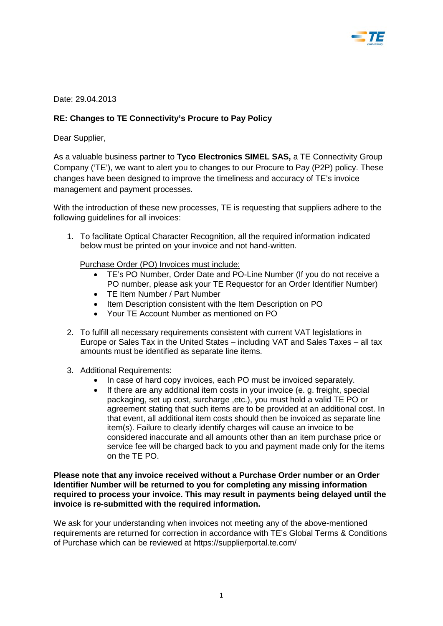

Date: 29.04.2013

## **RE: Changes to TE Connectivity's Procure to Pay Policy**

Dear Supplier,

As a valuable business partner to **Tyco Electronics SIMEL SAS,** a TE Connectivity Group Company ('TE'), we want to alert you to changes to our Procure to Pay (P2P) policy. These changes have been designed to improve the timeliness and accuracy of TE's invoice management and payment processes.

With the introduction of these new processes, TE is requesting that suppliers adhere to the following guidelines for all invoices:

1. To facilitate Optical Character Recognition, all the required information indicated below must be printed on your invoice and not hand-written.

Purchase Order (PO) Invoices must include:

- TE's PO Number, Order Date and PO-Line Number (If you do not receive a PO number, please ask your TE Requestor for an Order Identifier Number)
- TE Item Number / Part Number
- Item Description consistent with the Item Description on PO
- Your TE Account Number as mentioned on PO
- 2. To fulfill all necessary requirements consistent with current VAT legislations in Europe or Sales Tax in the United States – including VAT and Sales Taxes – all tax amounts must be identified as separate line items.
- 3. Additional Requirements:
	- In case of hard copy invoices, each PO must be invoiced separately.
	- If there are any additional item costs in your invoice (e. q. freight, special packaging, set up cost, surcharge ,etc.), you must hold a valid TE PO or agreement stating that such items are to be provided at an additional cost. In that event, all additional item costs should then be invoiced as separate line item(s). Failure to clearly identify charges will cause an invoice to be considered inaccurate and all amounts other than an item purchase price or service fee will be charged back to you and payment made only for the items on the TE PO.

**Please note that any invoice received without a Purchase Order number or an Order Identifier Number will be returned to you for completing any missing information required to process your invoice. This may result in payments being delayed until the invoice is re-submitted with the required information.** 

We ask for your understanding when invoices not meeting any of the above-mentioned requirements are returned for correction in accordance with TE's Global Terms & Conditions of Purchase which can be reviewed at<https://supplierportal.te.com/>